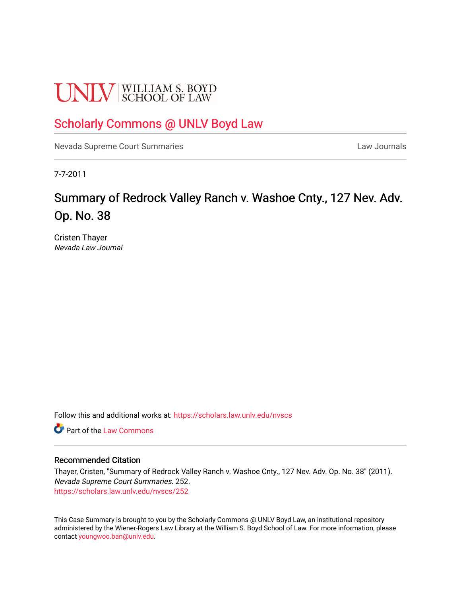# **UNLV** SCHOOL OF LAW

# [Scholarly Commons @ UNLV Boyd Law](https://scholars.law.unlv.edu/)

[Nevada Supreme Court Summaries](https://scholars.law.unlv.edu/nvscs) **Law Journals** Law Journals

7-7-2011

# Summary of Redrock Valley Ranch v. Washoe Cnty., 127 Nev. Adv. Op. No. 38

Cristen Thayer Nevada Law Journal

Follow this and additional works at: [https://scholars.law.unlv.edu/nvscs](https://scholars.law.unlv.edu/nvscs?utm_source=scholars.law.unlv.edu%2Fnvscs%2F252&utm_medium=PDF&utm_campaign=PDFCoverPages)

**C** Part of the [Law Commons](http://network.bepress.com/hgg/discipline/578?utm_source=scholars.law.unlv.edu%2Fnvscs%2F252&utm_medium=PDF&utm_campaign=PDFCoverPages)

### Recommended Citation

Thayer, Cristen, "Summary of Redrock Valley Ranch v. Washoe Cnty., 127 Nev. Adv. Op. No. 38" (2011). Nevada Supreme Court Summaries. 252. [https://scholars.law.unlv.edu/nvscs/252](https://scholars.law.unlv.edu/nvscs/252?utm_source=scholars.law.unlv.edu%2Fnvscs%2F252&utm_medium=PDF&utm_campaign=PDFCoverPages)

This Case Summary is brought to you by the Scholarly Commons @ UNLV Boyd Law, an institutional repository administered by the Wiener-Rogers Law Library at the William S. Boyd School of Law. For more information, please contact [youngwoo.ban@unlv.edu](mailto:youngwoo.ban@unlv.edu).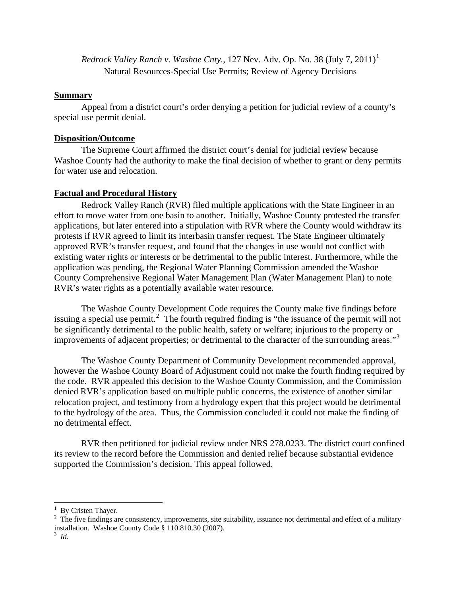*Redrock Valley Ranch v. Washoe Cnty.*, [1](#page-1-0)27 Nev. Adv. Op. No. 38 (July 7, 2011)<sup>1</sup> Natural Resources-Special Use Permits; Review of Agency Decisions

# **Summary**

 Appeal from a district court's order denying a petition for judicial review of a county's special use permit denial.

## **Disposition/Outcome**

 The Supreme Court affirmed the district court's denial for judicial review because Washoe County had the authority to make the final decision of whether to grant or deny permits for water use and relocation.

# **Factual and Procedural History**

 Redrock Valley Ranch (RVR) filed multiple applications with the State Engineer in an effort to move water from one basin to another. Initially, Washoe County protested the transfer applications, but later entered into a stipulation with RVR where the County would withdraw its protests if RVR agreed to limit its interbasin transfer request. The State Engineer ultimately approved RVR's transfer request, and found that the changes in use would not conflict with existing water rights or interests or be detrimental to the public interest. Furthermore, while the application was pending, the Regional Water Planning Commission amended the Washoe County Comprehensive Regional Water Management Plan (Water Management Plan) to note RVR's water rights as a potentially available water resource.

 The Washoe County Development Code requires the County make five findings before issuing a special use permit.<sup>[2](#page-1-1)</sup> The fourth required finding is "the issuance of the permit will not be significantly detrimental to the public health, safety or welfare; injurious to the property or improvements of adjacent properties; or detrimental to the character of the surrounding areas."[3](#page-1-2)

 The Washoe County Department of Community Development recommended approval, however the Washoe County Board of Adjustment could not make the fourth finding required by the code. RVR appealed this decision to the Washoe County Commission, and the Commission denied RVR's application based on multiple public concerns, the existence of another similar relocation project, and testimony from a hydrology expert that this project would be detrimental to the hydrology of the area. Thus, the Commission concluded it could not make the finding of no detrimental effect.

 RVR then petitioned for judicial review under NRS 278.0233. The district court confined its review to the record before the Commission and denied relief because substantial evidence supported the Commission's decision. This appeal followed.

<span id="page-1-0"></span><sup>&</sup>lt;sup>1</sup> By Cristen Thayer.

<span id="page-1-1"></span> $2<sup>2</sup>$  The five findings are consistency, improvements, site suitability, issuance not detrimental and effect of a military installation. Washoe County Code § 110.810.30 (2007).

<span id="page-1-2"></span><sup>3</sup> *Id.*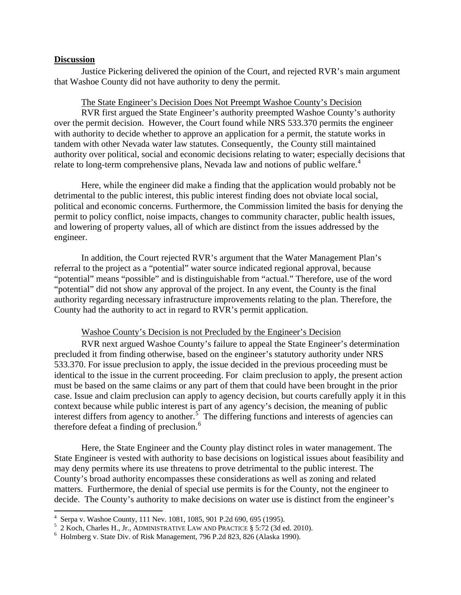#### **Discussion**

 Justice Pickering delivered the opinion of the Court, and rejected RVR's main argument that Washoe County did not have authority to deny the permit.

#### The State Engineer's Decision Does Not Preempt Washoe County's Decision

 RVR first argued the State Engineer's authority preempted Washoe County's authority over the permit decision. However, the Court found while NRS 533.370 permits the engineer with authority to decide whether to approve an application for a permit, the statute works in tandem with other Nevada water law statutes. Consequently, the County still maintained authority over political, social and economic decisions relating to water; especially decisions that relate to long-term comprehensive plans, Nevada law and notions of public welfare.<sup>[4](#page-2-0)</sup>

 Here, while the engineer did make a finding that the application would probably not be detrimental to the public interest, this public interest finding does not obviate local social, political and economic concerns. Furthermore, the Commission limited the basis for denying the permit to policy conflict, noise impacts, changes to community character, public health issues, and lowering of property values, all of which are distinct from the issues addressed by the engineer.

 In addition, the Court rejected RVR's argument that the Water Management Plan's referral to the project as a "potential" water source indicated regional approval, because "potential" means "possible" and is distinguishable from "actual." Therefore, use of the word "potential" did not show any approval of the project. In any event, the County is the final authority regarding necessary infrastructure improvements relating to the plan. Therefore, the County had the authority to act in regard to RVR's permit application.

#### Washoe County's Decision is not Precluded by the Engineer's Decision

 RVR next argued Washoe County's failure to appeal the State Engineer's determination precluded it from finding otherwise, based on the engineer's statutory authority under NRS 533.370. For issue preclusion to apply, the issue decided in the previous proceeding must be identical to the issue in the current proceeding. For claim preclusion to apply, the present action must be based on the same claims or any part of them that could have been brought in the prior case. Issue and claim preclusion can apply to agency decision, but courts carefully apply it in this context because while public interest is part of any agency's decision, the meaning of public interest differs from agency to another.<sup>[5](#page-2-1)</sup> The differing functions and interests of agencies can therefore defeat a finding of preclusion.<sup>[6](#page-2-2)</sup>

 Here, the State Engineer and the County play distinct roles in water management. The State Engineer is vested with authority to base decisions on logistical issues about feasibility and may deny permits where its use threatens to prove detrimental to the public interest. The County's broad authority encompasses these considerations as well as zoning and related matters. Furthermore, the denial of special use permits is for the County, not the engineer to decide. The County's authority to make decisions on water use is distinct from the engineer's

 4 Serpa v. Washoe County, 111 Nev. 1081, 1085, 901 P.2d 690, 695 (1995).

<span id="page-2-1"></span><span id="page-2-0"></span> $^5$  2 Koch, Charles H., Jr., ADMINISTRATIVE LAW AND PRACTICE  $\S$  5:72 (3d ed. 2010).

<span id="page-2-2"></span>Holmberg v. State Div. of Risk Management, 796 P.2d 823, 826 (Alaska 1990).